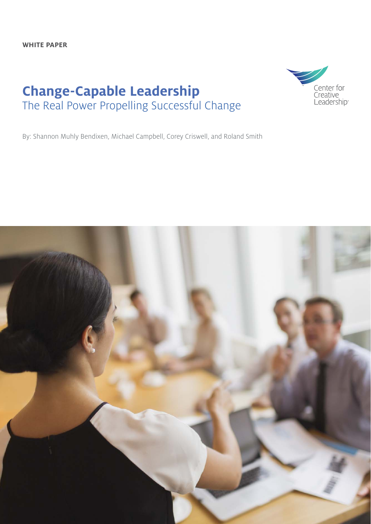**WHITE PAPER**

# **Change-Capable Leadership** The Real Power Propelling Successful Change



By: Shannon Muhly Bendixen, Michael Campbell, Corey Criswell, and Roland Smith

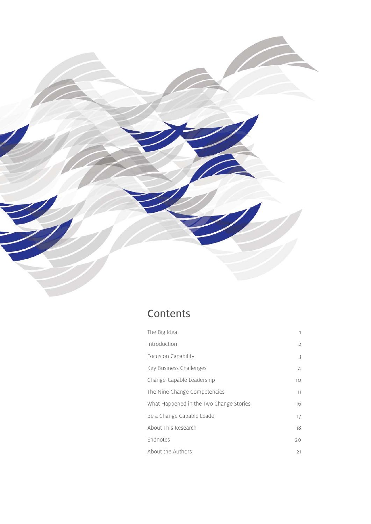

# Contents

| The Big Idea                            | 1              |
|-----------------------------------------|----------------|
| Introduction                            | $\mathfrak{D}$ |
| Focus on Capability                     | 3              |
| Key Business Challenges                 | 4              |
| Change-Capable Leadership               | 10             |
| The Nine Change Competencies            | 11             |
| What Happened in the Two Change Stories | 16             |
| Be a Change Capable Leader              | 17             |
| About This Research                     | 18             |
| Endnotes                                | 20             |
| About the Authors                       | 21             |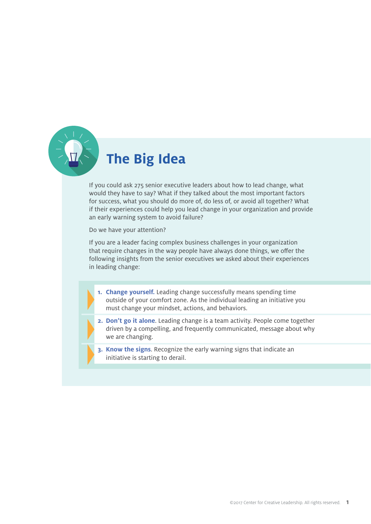

# **The Big Idea**

If you could ask 275 senior executive leaders about how to lead change, what would they have to say? What if they talked about the most important factors for success, what you should do more of, do less of, or avoid all together? What if their experiences could help you lead change in your organization and provide an early warning system to avoid failure?

Do we have your attention?

If you are a leader facing complex business challenges in your organization that require changes in the way people have always done things, we offer the following insights from the senior executives we asked about their experiences in leading change:

- **1. Change yourself.** Leading change successfully means spending time outside of your comfort zone. As the individual leading an initiative you must change your mindset, actions, and behaviors.
- **2. Don't go it alone**. Leading change is a team activity. People come together driven by a compelling, and frequently communicated, message about why we are changing.
- **3. Know the signs**. Recognize the early warning signs that indicate an initiative is starting to derail.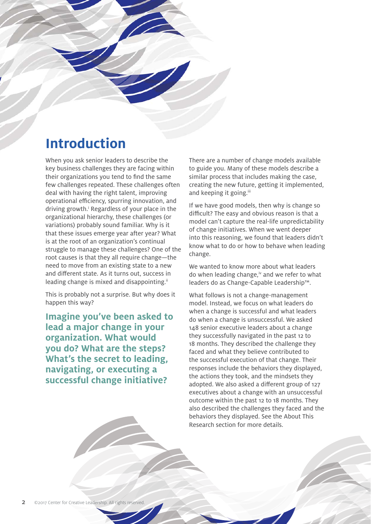# **Introduction**

When you ask senior leaders to describe the key business challenges they are facing within their organizations you tend to find the same few challenges repeated. These challenges often deal with having the right talent, improving operational efficiency, spurring innovation, and driving growth.<sup>i</sup> Regardless of your place in the organizational hierarchy, these challenges (or variations) probably sound familiar. Why is it that these issues emerge year after year? What is at the root of an organization's continual struggle to manage these challenges? One of the root causes is that they all require change—the need to move from an existing state to a new and different state. As it turns out, success in leading change is mixed and disappointing.<sup>ii</sup>

This is probably not a surprise. But why does it happen this way?

**Imagine you've been asked to lead a major change in your organization. What would you do? What are the steps? What's the secret to leading, navigating, or executing a successful change initiative?**

There are a number of change models available to guide you. Many of these models describe a similar process that includes making the case, creating the new future, getting it implemented, and keeping it going.<sup>iii</sup>

If we have good models, then why is change so difficult? The easy and obvious reason is that a model can't capture the real-life unpredictability of change initiatives. When we went deeper into this reasoning, we found that leaders didn't know what to do or how to behave when leading change.

We wanted to know more about what leaders do when leading change, $\dot{v}$  and we refer to what leaders do as Change-Capable Leadership™.

What follows is not a change-management model. Instead, we focus on what leaders do when a change is successful and what leaders do when a change is unsuccessful. We asked 148 senior executive leaders about a change they successfully navigated in the past 12 to 18 months. They described the challenge they faced and what they believe contributed to the successful execution of that change. Their responses include the behaviors they displayed, the actions they took, and the mindsets they adopted. We also asked a different group of 127 executives about a change with an unsuccessful outcome within the past 12 to 18 months. They also described the challenges they faced and the behaviors they displayed. See the About This Research section for more details.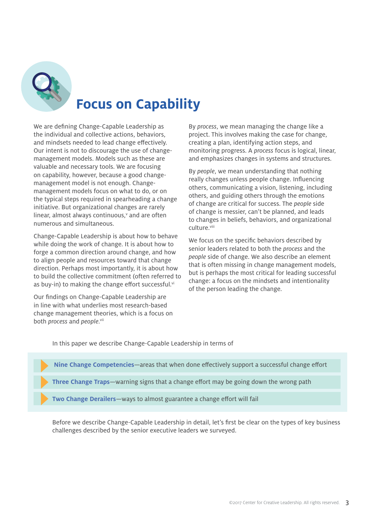

# **Focus on Capability**

We are defining Change-Capable Leadership as the individual and collective actions, behaviors, and mindsets needed to lead change effectively. Our intent is not to discourage the use of changemanagement models. Models such as these are valuable and necessary tools. We are focusing on capability, however, because a good changemanagement model is not enough. Changemanagement models focus on what to do, or on the typical steps required in spearheading a change initiative. But organizational changes are rarely linear, almost always continuous,<sup>v</sup> and are often numerous and simultaneous.

Change-Capable Leadership is about how to behave while doing the work of change. It is about how to forge a common direction around change, and how to align people and resources toward that change direction. Perhaps most importantly, it is about how to build the collective commitment (often referred to as buy-in) to making the change effort successful.<sup>vi</sup>

Our findings on Change-Capable Leadership are in line with what underlies most research-based change management theories, which is a focus on both process and people.vii

By process, we mean managing the change like a project. This involves making the case for change, creating a plan, identifying action steps, and monitoring progress. A process focus is logical, linear, and emphasizes changes in systems and structures.

By people, we mean understanding that nothing really changes unless people change. Influencing others, communicating a vision, listening, including others, and guiding others through the emotions of change are critical for success. The people side of change is messier, can't be planned, and leads to changes in beliefs, behaviors, and organizational culture.viii

We focus on the specific behaviors described by senior leaders related to both the process and the people side of change. We also describe an element that is often missing in change management models, but is perhaps the most critical for leading successful change: a focus on the mindsets and intentionality of the person leading the change.

In this paper we describe Change-Capable Leadership in terms of



Before we describe Change-Capable Leadership in detail, let's first be clear on the types of key business challenges described by the senior executive leaders we surveyed.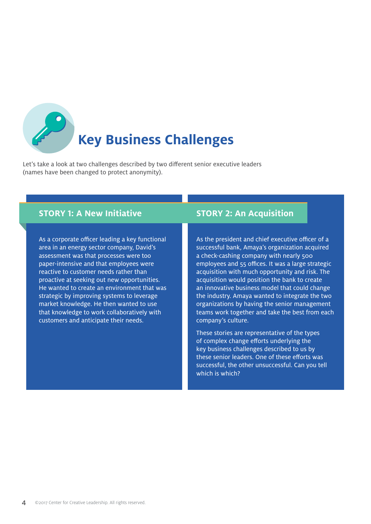

# **Key Business Challenges**

Let's take a look at two challenges described by two different senior executive leaders (names have been changed to protect anonymity).

## **STORY 1: A New Initiative**

As a corporate officer leading a key functional area in an energy sector company, David's assessment was that processes were too paper-intensive and that employees were reactive to customer needs rather than proactive at seeking out new opportunities. He wanted to create an environment that was strategic by improving systems to leverage market knowledge. He then wanted to use that knowledge to work collaboratively with customers and anticipate their needs.

## **STORY 2: An Acquisition**

As the president and chief executive officer of a successful bank, Amaya's organization acquired a check-cashing company with nearly 500 employees and 55 offices. It was a large strategic acquisition with much opportunity and risk. The acquisition would position the bank to create an innovative business model that could change the industry. Amaya wanted to integrate the two organizations by having the senior management teams work together and take the best from each company's culture.

These stories are representative of the types of complex change efforts underlying the key business challenges described to us by these senior leaders. One of these efforts was successful, the other unsuccessful. Can you tell which is which?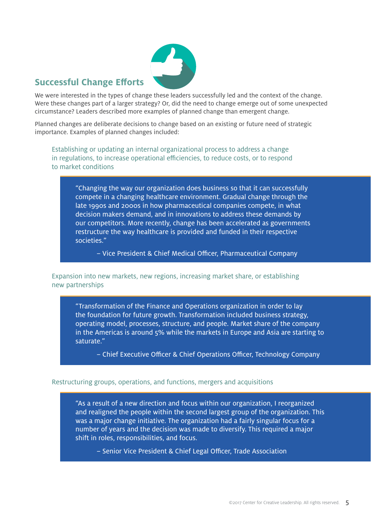

## **Successful Change Efforts**

We were interested in the types of change these leaders successfully led and the context of the change. Were these changes part of a larger strategy? Or, did the need to change emerge out of some unexpected circumstance? Leaders described more examples of planned change than emergent change.

Planned changes are deliberate decisions to change based on an existing or future need of strategic importance. Examples of planned changes included:

Establishing or updating an internal organizational process to address a change in regulations, to increase operational efficiencies, to reduce costs, or to respond to market conditions

"Changing the way our organization does business so that it can successfully compete in a changing healthcare environment. Gradual change through the late 1990s and 2000s in how pharmaceutical companies compete, in what decision makers demand, and in innovations to address these demands by our competitors. More recently, change has been accelerated as governments restructure the way healthcare is provided and funded in their respective societies."

– Vice President & Chief Medical Officer, Pharmaceutical Company

Expansion into new markets, new regions, increasing market share, or establishing new partnerships

"Transformation of the Finance and Operations organization in order to lay the foundation for future growth. Transformation included business strategy, operating model, processes, structure, and people. Market share of the company in the Americas is around 5% while the markets in Europe and Asia are starting to saturate."

– Chief Executive Officer & Chief Operations Officer, Technology Company

#### Restructuring groups, operations, and functions, mergers and acquisitions

"As a result of a new direction and focus within our organization, I reorganized and realigned the people within the second largest group of the organization. This was a major change initiative. The organization had a fairly singular focus for a number of years and the decision was made to diversify. This required a major shift in roles, responsibilities, and focus.

– Senior Vice President & Chief Legal Officer, Trade Association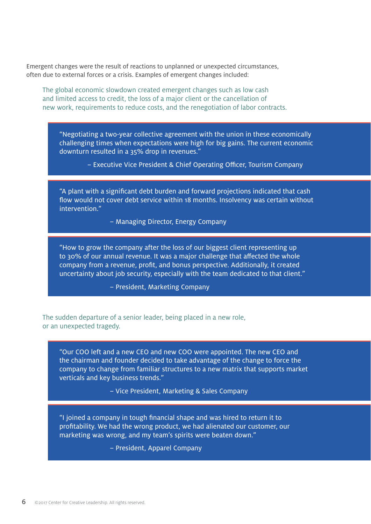Emergent changes were the result of reactions to unplanned or unexpected circumstances, often due to external forces or a crisis. Examples of emergent changes included:

The global economic slowdown created emergent changes such as low cash and limited access to credit, the loss of a major client or the cancellation of new work, requirements to reduce costs, and the renegotiation of labor contracts.

"Negotiating a two-year collective agreement with the union in these economically challenging times when expectations were high for big gains. The current economic downturn resulted in a 35% drop in revenues."

– Executive Vice President & Chief Operating Officer, Tourism Company

"A plant with a significant debt burden and forward projections indicated that cash flow would not cover debt service within 18 months. Insolvency was certain without intervention."

– Managing Director, Energy Company

"How to grow the company after the loss of our biggest client representing up to 30% of our annual revenue. It was a major challenge that affected the whole company from a revenue, profit, and bonus perspective. Additionally, it created uncertainty about job security, especially with the team dedicated to that client."

– President, Marketing Company

The sudden departure of a senior leader, being placed in a new role, or an unexpected tragedy.

"Our COO left and a new CEO and new COO were appointed. The new CEO and the chairman and founder decided to take advantage of the change to force the company to change from familiar structures to a new matrix that supports market verticals and key business trends."

– Vice President, Marketing & Sales Company

"I joined a company in tough financial shape and was hired to return it to profi tability. We had the wrong product, we had alienated our customer, our marketing was wrong, and my team's spirits were beaten down."

– President, Apparel Company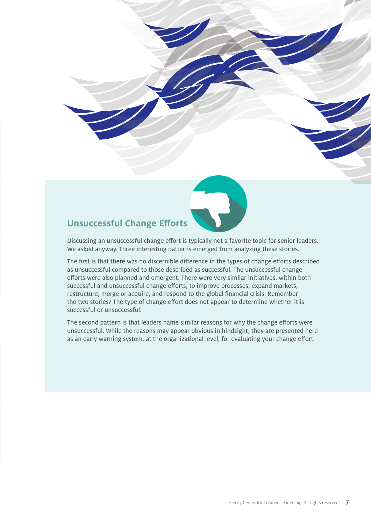

## **Unsuccessful Change Efforts**

Discussing an unsuccessful change effort is typically not a favorite topic for senior leaders. We asked anyway. Three interesting patterns emerged from analyzing these stories.

The first is that there was no discernible difference in the types of change efforts described as unsuccessful compared to those described as successful. The unsuccessful change efforts were also planned and emergent. There were very similar initiatives, within both successful and unsuccessful change efforts, to improve processes, expand markets, restructure, merge or acquire, and respond to the global financial crisis. Remember the two stories? The type of change effort does not appear to determine whether it is successful or unsuccessful.

The second pattern is that leaders name similar reasons for why the change efforts were unsuccessful. While the reasons may appear obvious in hindsight, they are presented here as an early warning system, at the organizational level, for evaluating your change effort.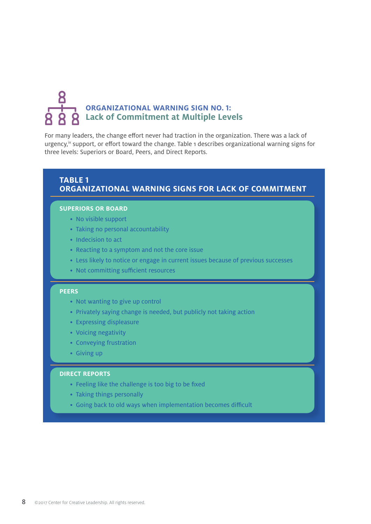# 8 **ORGANIZATIONAL WARNING SIGN NO. 1: Lack of Commitment at Multiple Levels**

For many leaders, the change effort never had traction in the organization. There was a lack of urgency,<sup> $ix$ </sup> support, or effort toward the change. Table 1 describes organizational warning signs for three levels: Superiors or Board, Peers, and Direct Reports.

## **TABLE 1 ORGANIZATIONAL WARNING SIGNS FOR LACK OF COMMITMENT**

#### **SUPERIORS OR BOARD**

- No visible support
- Taking no personal accountability
- Indecision to act
- Reacting to a symptom and not the core issue
- Less likely to notice or engage in current issues because of previous successes
- Not committing sufficient resources

#### **PEERS**

- Not wanting to give up control
- Privately saying change is needed, but publicly not taking action
- Expressing displeasure
- Voicing negativity
- Conveying frustration
- Giving up

#### **DIRECT REPORTS**

- Feeling like the challenge is too big to be fixed
- Taking things personally
- Going back to old ways when implementation becomes difficult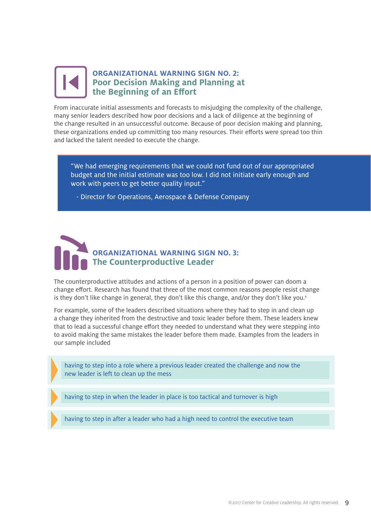## **ORGANIZATIONAL WARNING SIGN NO. 2: Poor Decision Making and Planning at the Beginning of an Effort**

From inaccurate initial assessments and forecasts to misjudging the complexity of the challenge, many senior leaders described how poor decisions and a lack of diligence at the beginning of the change resulted in an unsuccessful outcome. Because of poor decision making and planning, these organizations ended up committing too many resources. Their efforts were spread too thin and lacked the talent needed to execute the change.

"We had emerging requirements that we could not fund out of our appropriated budget and the initial estimate was too low. I did not initiate early enough and work with peers to get better quality input."

- Director for Operations, Aerospace & Defense Company



The counterproductive attitudes and actions of a person in a position of power can doom a change effort. Research has found that three of the most common reasons people resist change is they don't like change in general, they don't like this change, and/or they don't like you.<sup>x</sup>

For example, some of the leaders described situations where they had to step in and clean up a change they inherited from the destructive and toxic leader before them. These leaders knew that to lead a successful change effort they needed to understand what they were stepping into to avoid making the same mistakes the leader before them made. Examples from the leaders in our sample included

having to step into a role where a previous leader created the challenge and now the new leader is left to clean up the mess

having to step in when the leader in place is too tactical and turnover is high

having to step in after a leader who had a high need to control the executive team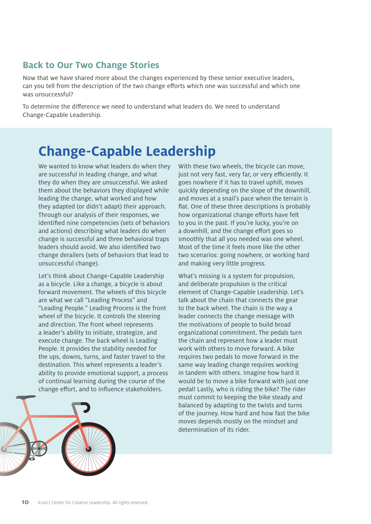## **Back to Our Two Change Stories**

Now that we have shared more about the changes experienced by these senior executive leaders, can you tell from the description of the two change efforts which one was successful and which one was unsuccessful?

To determine the difference we need to understand what leaders do. We need to understand Change-Capable Leadership.

# **Change-Capable Leadership**

We wanted to know what leaders do when they are successful in leading change, and what they do when they are unsuccessful. We asked them about the behaviors they displayed while leading the change, what worked and how they adapted (or didn't adapt) their approach. Through our analysis of their responses, we identified nine competencies (sets of behaviors and actions) describing what leaders do when change is successful and three behavioral traps leaders should avoid. We also identified two change derailers (sets of behaviors that lead to unsuccessful change).

Let's think about Change-Capable Leadership as a bicycle. Like a change, a bicycle is about forward movement. The wheels of this bicycle are what we call "Leading Process" and "Leading People." Leading Process is the front wheel of the bicycle. It controls the steering and direction. The front wheel represents a leader's ability to initiate, strategize, and execute change. The back wheel is Leading People. It provides the stability needed for the ups, downs, turns, and faster travel to the destination. This wheel represents a leader's ability to provide emotional support, a process of continual learning during the course of the change effort, and to influence stakeholders.

With these two wheels, the bicycle can move, just not very fast, very far, or very efficiently. It goes nowhere if it has to travel uphill, moves quickly depending on the slope of the downhill, and moves at a snail's pace when the terrain is flat. One of these three descriptions is probably how organizational change efforts have felt to you in the past. If you're lucky, you're on a downhill, and the change effort goes so smoothly that all you needed was one wheel. Most of the time it feels more like the other two scenarios: going nowhere, or working hard and making very little progress.

What's missing is a system for propulsion, and deliberate propulsion is the critical element of Change-Capable Leadership. Let's talk about the chain that connects the gear to the back wheel. The chain is the way a leader connects the change message with the motivations of people to build broad organizational commitment. The pedals turn the chain and represent how a leader must work with others to move forward. A bike requires two pedals to move forward in the same way leading change requires working in tandem with others. Imagine how hard it would be to move a bike forward with just one pedal! Lastly, who is riding the bike? The rider must commit to keeping the bike steady and balanced by adapting to the twists and turns of the journey. How hard and how fast the bike moves depends mostly on the mindset and determination of its rider.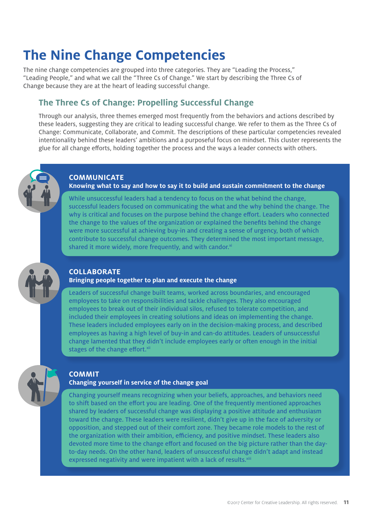# **The Nine Change Competencies**

The nine change competencies are grouped into three categories. They are "Leading the Process," "Leading People," and what we call the "Three Cs of Change." We start by describing the Three Cs of Change because they are at the heart of leading successful change.

## **The Three Cs of Change: Propelling Successful Change**

Through our analysis, three themes emerged most frequently from the behaviors and actions described by these leaders, suggesting they are critical to leading successful change. We refer to them as the Three Cs of Change: Communicate, Collaborate, and Commit. The descriptions of these particular competencies revealed intentionality behind these leaders' ambitions and a purposeful focus on mindset. This cluster represents the glue for all change efforts, holding together the process and the ways a leader connects with others.

#### **COMMUNICATE**

#### **Knowing what to say and how to say it to build and sustain commitment to the change**

While unsuccessful leaders had a tendency to focus on the what behind the change, successful leaders focused on communicating the what and the why behind the change. The why is critical and focuses on the purpose behind the change effort. Leaders who connected the change to the values of the organization or explained the benefits behind the change were more successful at achieving buy-in and creating a sense of urgency, both of which contribute to successful change outcomes. They determined the most important message, shared it more widely, more frequently, and with candor.<sup>xi</sup>

#### **COLLABORATE**

#### **Bringing people together to plan and execute the change**

Leaders of successful change built teams, worked across boundaries, and encouraged employees to take on responsibilities and tackle challenges. They also encouraged employees to break out of their individual silos, refused to tolerate competition, and included their employees in creating solutions and ideas on implementing the change. These leaders included employees early on in the decision-making process, and described employees as having a high level of buy-in and can-do attitudes. Leaders of unsuccessful change lamented that they didn't include employees early or often enough in the initial stages of the change effort.<sup>xii</sup>

#### **COMMIT**

#### **Changing yourself in service of the change goal**

Changing yourself means recognizing when your beliefs, approaches, and behaviors need to shift based on the effort you are leading. One of the frequently mentioned approaches shared by leaders of successful change was displaying a positive attitude and enthusiasm toward the change. These leaders were resilient, didn't give up in the face of adversity or opposition, and stepped out of their comfort zone. They became role models to the rest of the organization with their ambition, efficiency, and positive mindset. These leaders also devoted more time to the change effort and focused on the big picture rather than the dayto-day needs. On the other hand, leaders of unsuccessful change didn't adapt and instead expressed negativity and were impatient with a lack of results.<sup>xiii</sup>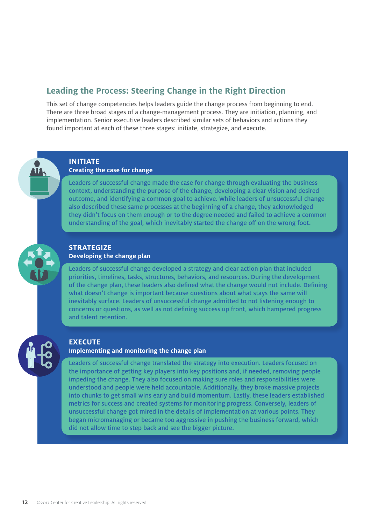## **Leading the Process: Steering Change in the Right Direction**

This set of change competencies helps leaders guide the change process from beginning to end. There are three broad stages of a change-management process. They are initiation, planning, and implementation. Senior executive leaders described similar sets of behaviors and actions they found important at each of these three stages: initiate, strategize, and execute.



#### **INITIATE Creating the case for change**

Leaders of successful change made the case for change through evaluating the business context, understanding the purpose of the change, developing a clear vision and desired outcome, and identifying a common goal to achieve. While leaders of unsuccessful change also described these same processes at the beginning of a change, they acknowledged they didn't focus on them enough or to the degree needed and failed to achieve a common understanding of the goal, which inevitably started the change off on the wrong foot.

#### **STRATEGIZE Developing the change plan**

Leaders of successful change developed a strategy and clear action plan that included priorities, timelines, tasks, structures, behaviors, and resources. During the development of the change plan, these leaders also defined what the change would not include. Defining what doesn't change is important because questions about what stays the same will inevitably surface. Leaders of unsuccessful change admitted to not listening enough to concerns or questions, as well as not defining success up front, which hampered progress and talent retention.

#### **EXECUTE**

#### **Implementing and monitoring the change plan**

Leaders of successful change translated the strategy into execution. Leaders focused on the importance of getting key players into key positions and, if needed, removing people impeding the change. They also focused on making sure roles and responsibilities were understood and people were held accountable. Additionally, they broke massive projects into chunks to get small wins early and build momentum. Lastly, these leaders established metrics for success and created systems for monitoring progress. Conversely, leaders of unsuccessful change got mired in the details of implementation at various points. They began micromanaging or became too aggressive in pushing the business forward, which did not allow time to step back and see the bigger picture.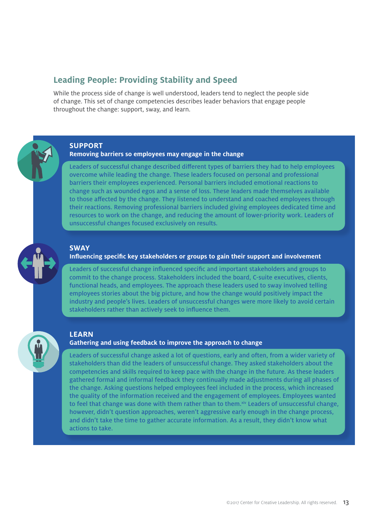## **Leading People: Providing Stability and Speed**

While the process side of change is well understood, leaders tend to neglect the people side of change. This set of change competencies describes leader behaviors that engage people throughout the change: support, sway, and learn.

#### **SUPPORT**

**Removing barriers so employees may engage in the change** 

Leaders of successful change described different types of barriers they had to help employees overcome while leading the change. These leaders focused on personal and professional barriers their employees experienced. Personal barriers included emotional reactions to change such as wounded egos and a sense of loss. These leaders made themselves available to those affected by the change. They listened to understand and coached employees through their reactions. Removing professional barriers included giving employees dedicated time and resources to work on the change, and reducing the amount of lower-priority work. Leaders of unsuccessful changes focused exclusively on results.

#### **SWAY**

#### Influencing specific key stakeholders or groups to gain their support and involvement

Leaders of successful change influenced specific and important stakeholders and groups to commit to the change process. Stakeholders included the board, C-suite executives, clients, functional heads, and employees. The approach these leaders used to sway involved telling employees stories about the big picture, and how the change would positively impact the industry and people's lives. Leaders of unsuccessful changes were more likely to avoid certain stakeholders rather than actively seek to influence them.

#### **LEARN**

#### **Gathering and using feedback to improve the approach to change**

Leaders of successful change asked a lot of questions, early and often, from a wider variety of stakeholders than did the leaders of unsuccessful change. They asked stakeholders about the competencies and skills required to keep pace with the change in the future. As these leaders gathered formal and informal feedback they continually made adjustments during all phases of the change. Asking questions helped employees feel included in the process, which increased the quality of the information received and the engagement of employees. Employees wanted to feel that change was done with them rather than to them. Xiv Leaders of unsuccessful change, however, didn't question approaches, weren't aggressive early enough in the change process, and didn't take the time to gather accurate information. As a result, they didn't know what actions to take.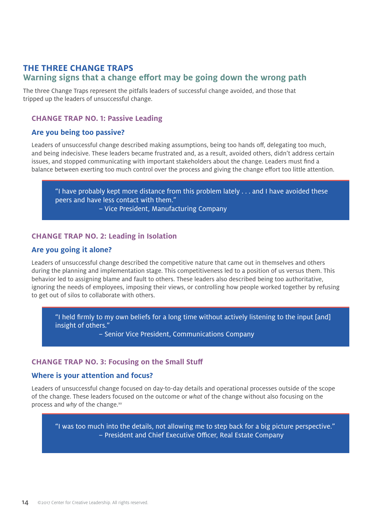## **THE THREE CHANGE TRAPS Warning signs that a change effort may be going down the wrong path**

The three Change Traps represent the pitfalls leaders of successful change avoided, and those that tripped up the leaders of unsuccessful change.

#### **CHANGE TRAP NO. 1: Passive Leading**

#### **Are you being too passive?**

Leaders of unsuccessful change described making assumptions, being too hands off, delegating too much, and being indecisive. These leaders became frustrated and, as a result, avoided others, didn't address certain issues, and stopped communicating with important stakeholders about the change. Leaders must find a balance between exerting too much control over the process and giving the change effort too little attention.

"I have probably kept more distance from this problem lately . . . and I have avoided these peers and have less contact with them." – Vice President, Manufacturing Company

#### **CHANGE TRAP NO. 2: Leading in Isolation**

#### **Are you going it alone?**

Leaders of unsuccessful change described the competitive nature that came out in themselves and others during the planning and implementation stage. This competitiveness led to a position of us versus them. This behavior led to assigning blame and fault to others. These leaders also described being too authoritative, ignoring the needs of employees, imposing their views, or controlling how people worked together by refusing to get out of silos to collaborate with others.

"I held firmly to my own beliefs for a long time without actively listening to the input [and] insight of others."

– Senior Vice President, Communications Company

#### **CHANGE TRAP NO. 3: Focusing on the Small Stuff**

#### **Where is your attention and focus?**

Leaders of unsuccessful change focused on day-to-day details and operational processes outside of the scope of the change. These leaders focused on the outcome or what of the change without also focusing on the process and why of the change.<sup>xv</sup>

"I was too much into the details, not allowing me to step back for a big picture perspective." – President and Chief Executive Officer, Real Estate Company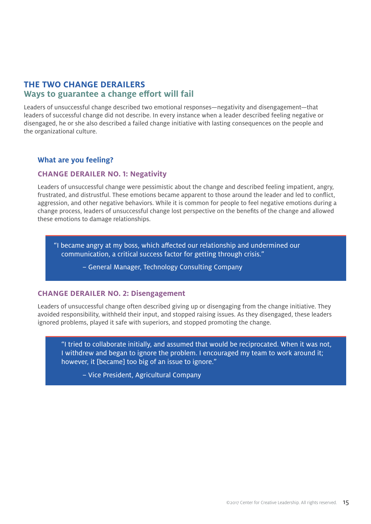## **THE TWO CHANGE DERAILERS Ways to guarantee a change effort will fail**

Leaders of unsuccessful change described two emotional responses—negativity and disengagement—that leaders of successful change did not describe. In every instance when a leader described feeling negative or disengaged, he or she also described a failed change initiative with lasting consequences on the people and the organizational culture.

### **What are you feeling?**

#### **CHANGE DERAILER NO. 1: Negativity**

Leaders of unsuccessful change were pessimistic about the change and described feeling impatient, angry, frustrated, and distrustful. These emotions became apparent to those around the leader and led to conflict, aggression, and other negative behaviors. While it is common for people to feel negative emotions during a change process, leaders of unsuccessful change lost perspective on the benefits of the change and allowed these emotions to damage relationships.

"I became angry at my boss, which aff ected our relationship and undermined our communication, a critical success factor for getting through crisis."

– General Manager, Technology Consulting Company

#### **CHANGE DERAILER NO. 2: Disengagement**

Leaders of unsuccessful change often described giving up or disengaging from the change initiative. They avoided responsibility, withheld their input, and stopped raising issues. As they disengaged, these leaders ignored problems, played it safe with superiors, and stopped promoting the change.

"I tried to collaborate initially, and assumed that would be reciprocated. When it was not, I withdrew and began to ignore the problem. I encouraged my team to work around it; however, it [became] too big of an issue to ignore."

– Vice President, Agricultural Company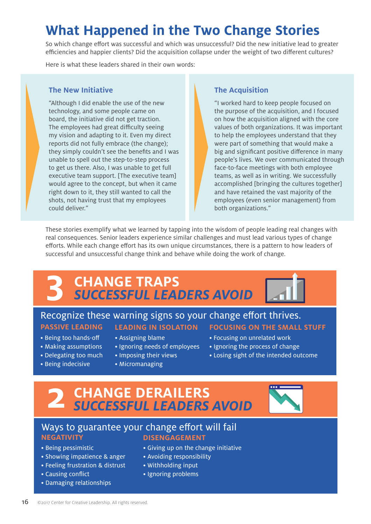# **What Happened in the Two Change Stories**

So which change effort was successful and which was unsuccessful? Did the new initiative lead to greater efficiencies and happier clients? Did the acquisition collapse under the weight of two different cultures?

Here is what these leaders shared in their own words:

#### **The New Initiative**

"Although I did enable the use of the new technology, and some people came on board, the initiative did not get traction. The employees had great difficulty seeing my vision and adapting to it. Even my direct reports did not fully embrace (the change); they simply couldn't see the benefits and I was unable to spell out the step-to-step process to get us there. Also, I was unable to get full executive team support. [The executive team] would agree to the concept, but when it came right down to it, they still wanted to call the shots, not having trust that my employees could deliver."

### **The Acquisition**

"I worked hard to keep people focused on the purpose of the acquisition, and I focused on how the acquisition aligned with the core values of both organizations. It was important to help the employees understand that they were part of something that would make a big and significant positive difference in many people's lives. We over communicated through face-to-face meetings with both employee teams, as well as in writing. We successfully accomplished [bringing the cultures together] and have retained the vast majority of the employees (even senior management) from both organizations."

These stories exemplify what we learned by tapping into the wisdom of people leading real changes with real consequences. Senior leaders experience similar challenges and must lead various types of change efforts. While each change effort has its own unique circumstances, there is a pattern to how leaders of successful and unsuccessful change think and behave while doing the work of change.

# **CHANGE TRAPS 3 SUCCESSFUL LEADERS AVOID**

# Recognize these warning signs so your change effort thrives.

- Being too hands-off
- Making assumptions
- Delegating too much
- Being indecisive

#### • Assigning blame

- Ignoring needs of employees
- Imposing their views
- Micromanaging
- **PASSIVE LEADING LEADING IN ISOLATION FOCUSING ON THE SMALL STUFF**
	- Focusing on unrelated work
	- Ignoring the process of change
	- Losing sight of the intended outcome

# **CHANGE DERAILERS 2 SUCCESSFUL LEADERS AVOID**



## Ways to guarantee your change effort will fail **NEGATIVITY DISENGAGEMENT**

- Being pessimistic
- Showing impatience & anger
- Feeling frustration & distrust
- Causing conflict
- Damaging relationships
- Giving up on the change initiative
- Avoiding responsibility
	- Withholding input
	- Ignoring problems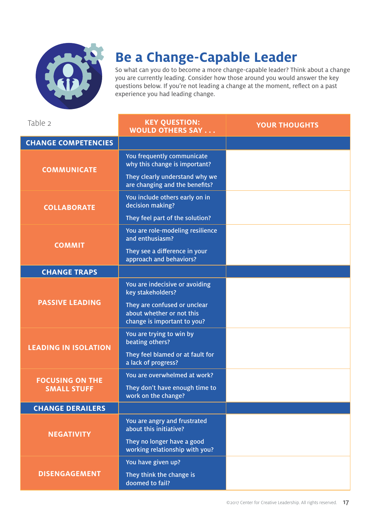

# **Be a Change-Capable Leader**

So what can you do to become a more change-capable leader? Think about a change you are currently leading. Consider how those around you would answer the key questions below. If you're not leading a change at the moment, reflect on a past experience you had leading change.

| Table 2                                      | <b>KEY QUESTION:</b><br><b>WOULD OTHERS SAY</b>                                          | <b>YOUR THOUGHTS</b> |
|----------------------------------------------|------------------------------------------------------------------------------------------|----------------------|
| <b>CHANGE COMPETENCIES</b>                   |                                                                                          |                      |
| <b>COMMUNICATE</b>                           | You frequently communicate<br>why this change is important?                              |                      |
|                                              | They clearly understand why we<br>are changing and the benefits?                         |                      |
| <b>COLLABORATE</b>                           | You include others early on in<br>decision making?                                       |                      |
|                                              | They feel part of the solution?                                                          |                      |
| <b>COMMIT</b>                                | You are role-modeling resilience<br>and enthusiasm?                                      |                      |
|                                              | They see a difference in your<br>approach and behaviors?                                 |                      |
| <b>CHANGE TRAPS</b>                          |                                                                                          |                      |
| <b>PASSIVE LEADING</b>                       | You are indecisive or avoiding<br>key stakeholders?                                      |                      |
|                                              | They are confused or unclear<br>about whether or not this<br>change is important to you? |                      |
| <b>LEADING IN ISOLATION</b>                  | You are trying to win by<br>beating others?                                              |                      |
|                                              | They feel blamed or at fault for<br>a lack of progress?                                  |                      |
| <b>FOCUSING ON THE</b><br><b>SMALL STUFF</b> | You are overwhelmed at work?                                                             |                      |
|                                              | They don't have enough time to<br>work on the change?                                    |                      |
| <b>CHANGE DERAILERS</b>                      |                                                                                          |                      |
| <b>NEGATIVITY</b>                            | You are angry and frustrated<br>about this initiative?                                   |                      |
|                                              | They no longer have a good<br>working relationship with you?                             |                      |
| <b>DISENGAGEMENT</b>                         | You have given up?                                                                       |                      |
|                                              | They think the change is<br>doomed to fail?                                              |                      |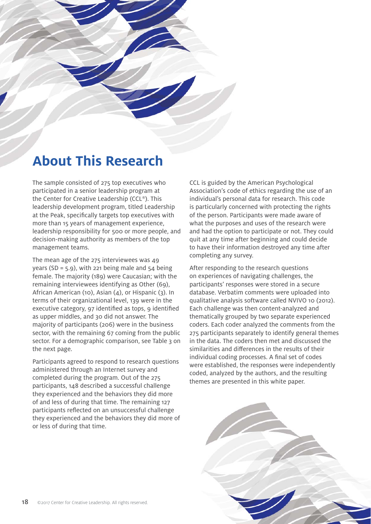# **About This Research**

The sample consisted of 275 top executives who participated in a senior leadership program at the Center for Creative Leadership (CCL®). This leadership development program, titled Leadership at the Peak, specifically targets top executives with more than 15 years of management experience, leadership responsibility for 500 or more people, and decision-making authority as members of the top management teams.

The mean age of the 275 interviewees was 49 years (SD =  $5.9$ ), with 221 being male and  $54$  being female. The majority (189) were Caucasian; with the remaining interviewees identifying as Other (69), African American (10), Asian (4), or Hispanic (3). In terms of their organizational level, 139 were in the executive category, 97 identified as tops, 9 identified as upper middles, and 30 did not answer. The majority of participants (206) were in the business sector, with the remaining 67 coming from the public sector. For a demographic comparison, see Table 3 on the next page.

Participants agreed to respond to research questions administered through an Internet survey and completed during the program. Out of the 275 participants, 148 described a successful challenge they experienced and the behaviors they did more of and less of during that time. The remaining 127 participants reflected on an unsuccessful challenge they experienced and the behaviors they did more of or less of during that time.

CCL is guided by the American Psychological Association's code of ethics regarding the use of an individual's personal data for research. This code is particularly concerned with protecting the rights of the person. Participants were made aware of what the purposes and uses of the research were and had the option to participate or not. They could quit at any time after beginning and could decide to have their information destroyed any time after completing any survey.

After responding to the research questions on experiences of navigating challenges, the participants' responses were stored in a secure database. Verbatim comments were uploaded into qualitative analysis software called NVIVO 10 (2012). Each challenge was then content-analyzed and thematically grouped by two separate experienced coders. Each coder analyzed the comments from the 275 participants separately to identify general themes in the data. The coders then met and discussed the similarities and differences in the results of their individual coding processes. A final set of codes were established, the responses were independently coded, analyzed by the authors, and the resulting themes are presented in this white paper.

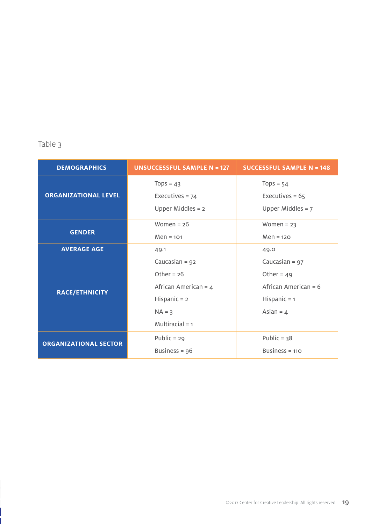## Table 3

| <b>DEMOGRAPHICS</b>          | <b>UNSUCCESSFUL SAMPLE N = 127</b>                      | <b>SUCCESSFUL SAMPLE N = 148</b>                        |
|------------------------------|---------------------------------------------------------|---------------------------------------------------------|
| <b>ORGANIZATIONAL LEVEL</b>  | Tops = $43$<br>Executives = $74$<br>Upper Middles $= 2$ | Tops = $54$<br>Executives = $65$<br>Upper Middles = $7$ |
| <b>GENDER</b>                | Women = $26$<br>$Men = 101$                             | Women = $23$<br>$Men = 120$                             |
| <b>AVERAGE AGE</b>           | 49.1                                                    | 49.0                                                    |
| <b>RACE/ETHNICITY</b>        | Caucasian = $92$                                        | Caucasian = $97$                                        |
|                              | Other = $26$                                            | Other = $49$                                            |
|                              | African American = $4$                                  | African American = $6$                                  |
|                              | Hispanic $= 2$                                          | Hispanic $= 1$                                          |
|                              | $NA = 3$                                                | Asian = $4$                                             |
|                              | Multiracial $= 1$                                       |                                                         |
| <b>ORGANIZATIONAL SECTOR</b> | Public = $29$                                           | Public = $38$                                           |
|                              | Business = $96$                                         | Business = $110$                                        |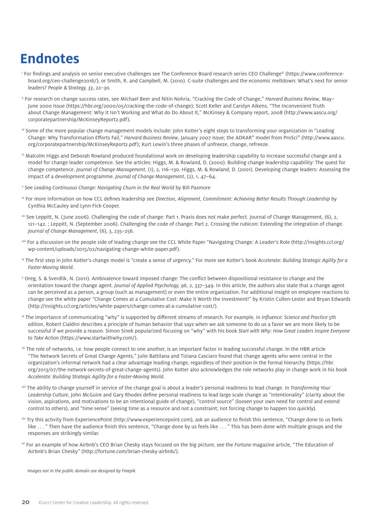# **Endnotes**

- $^\mathrm{i}$  For findings and analysis on senior executive challenges see The Conference Board research series CEO Challenge® (https://www.conferenceboard.org/ceo-challenge2016/), or Smith, R. and Campbell, M. (2010). C-suite challenges and the economic meltdown: What's next for senior leaders? People & Strategy, 33, 22–30.
- <sup>ii</sup> For research on change success rates, see Michael Beer and Nitin Nohria, "Cracking the Code of Change," Harvard Business Review, May-June 2000 Issue (https://hbr.org/2000/05/cracking-the-code-of-change); Scott Keller and Carolyn Aikens, "The Inconvenient Truth about Change Management: Why It Isn't Working and What do Do About It," McKinsey & Company report, 2008 (http://www.aascu.org/ corporatepartnership/McKinseyReport2.pdf).
- iii Some of the more popular change management models include: John Kotter's eight steps to transforming your organization in "Leading Change: Why Transformation Efforts Fail," Harvard Business Review, January 2007 Issue; the ADKAR® model from ProSci® (http://www.aascu. org/corporatepartnership/McKinseyReport2.pdf); Kurt Lewin's three phases of unfreeze, change, refreeze.
- iv Malcolm Higgs and Deborah Rowland produced foundational work on developing leadership capability to increase successful change and a model for change leader competence. See the articles: Higgs, M. & Rowland, D. (2000). Building change leadership capability: The quest for change competence. Journal of Change Management, (1), 2, 116–130. Higgs, M. & Rowland, D. (2001). Developing change leaders: Assessing the impact of a development programme. Journal of Change Management, (2), 1, 47–64.
- v See Leading Continuous Change: Navigating Churn in the Real World by Bill Pasmore
- vi For more information on how CCL defines leadership see Direction, Alignment, Commitment: Achieving Better Results Through Leadership by Cynthia McCauley and Lynn Fick-Cooper.
- vii See Leppitt, N. (June 2006). Challenging the code of change: Part 1. Praxis does not make perfect. Journal of Change Management, (6), 2, 121–142. ; Leppitt, N. (September 2006). Challenging the code of change: Part 2. Crossing the rubicon: Extending the integration of change. Journal of Change Management, (6), 3, 235–256.
- viii For a discussion on the people side of leading change see the CCL White Paper "Navigating Change: A Leader's Role (http://insights.ccl.org/ wp-content/uploads/2015/02/navigating-change-white-paper.pdf).
- <sup>ix</sup> The first step in John Kotter's change model is "create a sense of urgency." For more see Kotter's book Accelerate: Building Strategic Agility for a Faster-Moving World.
- <sup>x</sup> Oreg, S. & Sverdlik, N. (2011). Ambivalence toward imposed change: The conflict between dispositional resistance to change and the orientation toward the change agent. Journal of Applied Psychology, 96, 2, 337-349. In this article, the authors also state that a change agent can be perceived as a person, a group (such as management) or even the entire organization. For additional insight on employee reactions to change see the white paper "Change Comes at a Cumulative Cost: Make it Worth the Investment!" by Kristin Cullen-Lester and Bryan Edwards (http://insights.ccl.org/articles/white-papers/change-comes-at-a-cumulative-cost/).
- <sup>xi</sup> The importance of communicating "why" is supported by different streams of research. For example, in *Influence: Science and Practice 5th* edition, Robert Cialdini describes a principle of human behavior that says when we ask someone to do us a favor we are more likely to be successful if we provide a reason. Simon Sinek popularized focusing on "why" with his book Start with Why: How Great Leaders Inspire Everyone to Take Action (https://www.startwithwhy.com/).
- xii The role of networks, i.e. how people connect to one another, is an important factor in leading successful change. In the HBR article "The Network Secrets of Great Change Agents," Julie Battilana and Tiziana Casciaro found that change agents who were central in the organization's informal network had a clear advantage leading change, regardless of their position in the formal hierarchy (https://hbr. org/2013/07/the-network-secrets-of-great-change-agents). John Kotter also acknowledges the role networks play in change work in his book Accelerate: Building Strategic Agility for a Faster-Moving World.
- <sup>xiii</sup> The ability to change yourself in service of the change goal is about a leader's personal readiness to lead change. In Transforming Your Leadership Culture, John McGuire and Gary Rhodes define personal readiness to lead large scale change as "intentionality" (clarity about the vision, aspirations, and motivations to be an intentional guide of change), "control source" (loosen your own need for control and extend control to others), and "time sense" (seeing time as a resource and not a constraint; not forcing change to happen too quickly).
- <sup>xiv</sup> Try this activity from ExperiencePoint (http://www.experiencepoint.com), ask an audience to finish this sentence, "Change done to us feels like  $\ldots$  " Then have the audience finish this sentence, "Change done by us feels like  $\ldots$  " This has been done with multiple groups and the responses are strikingly similar.
- xv For an example of how Airbnb's CEO Brian Chesky stays focused on the big picture, see the Fortune magazine article, "The Education of Airbnb's Brian Chesky" (http://fortune.com/brian-chesky-airbnb/).

Images not in the public domain are designed by Freepik.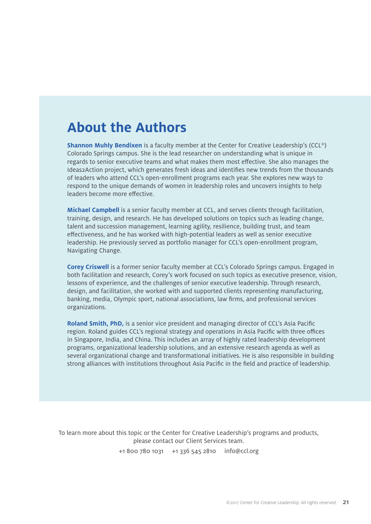# **About the Authors**

**Shannon Muhly Bendixen** is a faculty member at the Center for Creative Leadership's (CCL®) Colorado Springs campus. She is the lead researcher on understanding what is unique in regards to senior executive teams and what makes them most effective. She also manages the Ideas2Action project, which generates fresh ideas and identifies new trends from the thousands of leaders who attend CCL's open-enrollment programs each year. She explores new ways to respond to the unique demands of women in leadership roles and uncovers insights to help leaders become more effective.

**Michael Campbell** is a senior faculty member at CCL, and serves clients through facilitation, training, design, and research. He has developed solutions on topics such as leading change, talent and succession management, learning agility, resilience, building trust, and team effectiveness, and he has worked with high-potential leaders as well as senior executive leadership. He previously served as portfolio manager for CCL's open-enrollment program, Navigating Change.

**Corey Criswell** is a former senior faculty member at CCL's Colorado Springs campus. Engaged in both facilitation and research, Corey's work focused on such topics as executive presence, vision, lessons of experience, and the challenges of senior executive leadership. Through research, design, and facilitation, she worked with and supported clients representing manufacturing, banking, media, Olympic sport, national associations, law firms, and professional services organizations.

**Roland Smith, PhD,** is a senior vice president and managing director of CCL's Asia Pacific region. Roland guides CCL's regional strategy and operations in Asia Pacific with three offices in Singapore, India, and China. This includes an array of highly rated leadership development programs, organizational leadership solutions, and an extensive research agenda as well as several organizational change and transformational initiatives. He is also responsible in building strong alliances with institutions throughout Asia Pacific in the field and practice of leadership.

To learn more about this topic or the Center for Creative Leadership's programs and products, please contact our Client Services team.

+1 800 780 1031 +1 336 545 2810 info@ccl.org